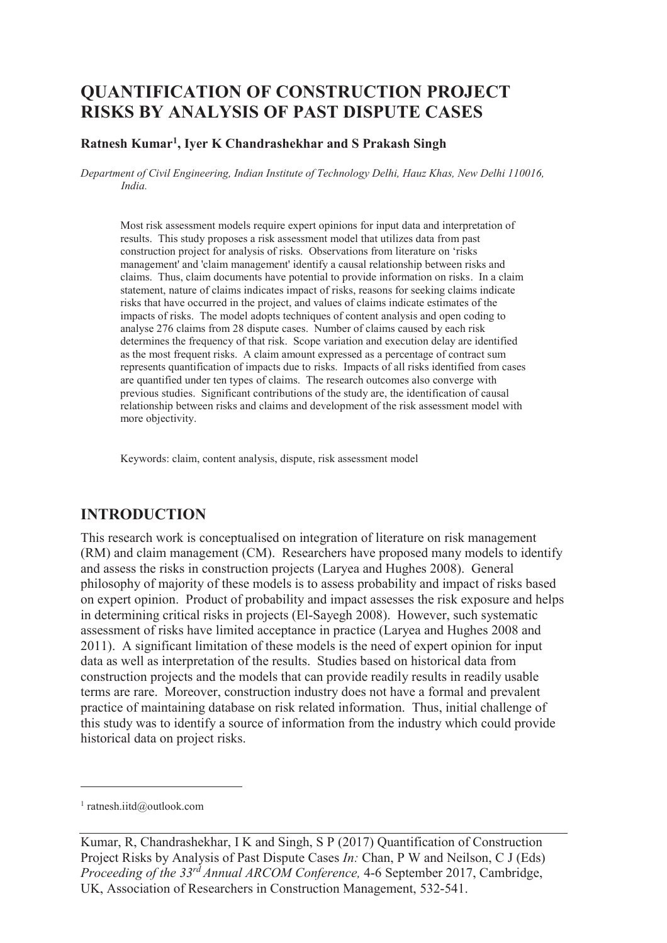# **QUANTIFICATION OF CONSTRUCTION PROJECT RISKS BY ANALYSIS OF PAST DISPUTE CASES**

#### **Ratnesh Kumar<sup>1</sup> , Iyer K Chandrashekhar and S Prakash Singh**

*Department of Civil Engineering, Indian Institute of Technology Delhi, Hauz Khas, New Delhi 110016, India.* 

Most risk assessment models require expert opinions for input data and interpretation of results. This study proposes a risk assessment model that utilizes data from past construction project for analysis of risks. Observations from literature on 'risks management' and 'claim management' identify a causal relationship between risks and claims. Thus, claim documents have potential to provide information on risks. In a claim statement, nature of claims indicates impact of risks, reasons for seeking claims indicate risks that have occurred in the project, and values of claims indicate estimates of the impacts of risks. The model adopts techniques of content analysis and open coding to analyse 276 claims from 28 dispute cases. Number of claims caused by each risk determines the frequency of that risk. Scope variation and execution delay are identified as the most frequent risks. A claim amount expressed as a percentage of contract sum represents quantification of impacts due to risks. Impacts of all risks identified from cases are quantified under ten types of claims. The research outcomes also converge with previous studies. Significant contributions of the study are, the identification of causal relationship between risks and claims and development of the risk assessment model with more objectivity.

Keywords: claim, content analysis, dispute, risk assessment model

## **INTRODUCTION**

This research work is conceptualised on integration of literature on risk management (RM) and claim management (CM). Researchers have proposed many models to identify and assess the risks in construction projects (Laryea and Hughes 2008). General philosophy of majority of these models is to assess probability and impact of risks based on expert opinion. Product of probability and impact assesses the risk exposure and helps in determining critical risks in projects (El-Sayegh 2008). However, such systematic assessment of risks have limited acceptance in practice (Laryea and Hughes 2008 and 2011). A significant limitation of these models is the need of expert opinion for input data as well as interpretation of the results. Studies based on historical data from construction projects and the models that can provide readily results in readily usable terms are rare. Moreover, construction industry does not have a formal and prevalent practice of maintaining database on risk related information. Thus, initial challenge of this study was to identify a source of information from the industry which could provide historical data on project risks.

-

<sup>1</sup> ratnesh.iitd@outlook.com

Kumar, R, Chandrashekhar, I K and Singh, S P (2017) Quantification of Construction Project Risks by Analysis of Past Dispute Cases *In:* Chan, P W and Neilson, C J (Eds) *Proceeding of the 33rd Annual ARCOM Conference,* 4-6 September 2017, Cambridge, UK, Association of Researchers in Construction Management, 532-541.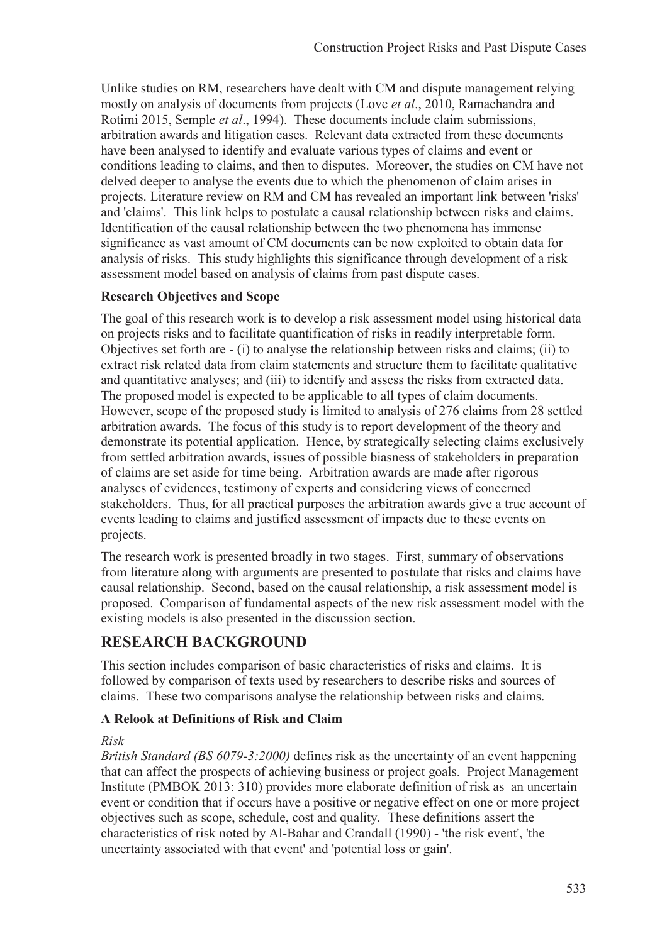Unlike studies on RM, researchers have dealt with CM and dispute management relying mostly on analysis of documents from projects (Love *et al*., 2010, Ramachandra and Rotimi 2015, Semple *et al*., 1994). These documents include claim submissions, arbitration awards and litigation cases. Relevant data extracted from these documents have been analysed to identify and evaluate various types of claims and event or conditions leading to claims, and then to disputes. Moreover, the studies on CM have not delved deeper to analyse the events due to which the phenomenon of claim arises in projects. Literature review on RM and CM has revealed an important link between 'risks' and 'claims'. This link helps to postulate a causal relationship between risks and claims. Identification of the causal relationship between the two phenomena has immense significance as vast amount of CM documents can be now exploited to obtain data for analysis of risks. This study highlights this significance through development of a risk assessment model based on analysis of claims from past dispute cases.

### **Research Objectives and Scope**

The goal of this research work is to develop a risk assessment model using historical data on projects risks and to facilitate quantification of risks in readily interpretable form. Objectives set forth are - (i) to analyse the relationship between risks and claims; (ii) to extract risk related data from claim statements and structure them to facilitate qualitative and quantitative analyses; and (iii) to identify and assess the risks from extracted data. The proposed model is expected to be applicable to all types of claim documents. However, scope of the proposed study is limited to analysis of 276 claims from 28 settled arbitration awards. The focus of this study is to report development of the theory and demonstrate its potential application. Hence, by strategically selecting claims exclusively from settled arbitration awards, issues of possible biasness of stakeholders in preparation of claims are set aside for time being. Arbitration awards are made after rigorous analyses of evidences, testimony of experts and considering views of concerned stakeholders. Thus, for all practical purposes the arbitration awards give a true account of events leading to claims and justified assessment of impacts due to these events on projects.

The research work is presented broadly in two stages. First, summary of observations from literature along with arguments are presented to postulate that risks and claims have causal relationship. Second, based on the causal relationship, a risk assessment model is proposed. Comparison of fundamental aspects of the new risk assessment model with the existing models is also presented in the discussion section.

## **RESEARCH BACKGROUND**

This section includes comparison of basic characteristics of risks and claims. It is followed by comparison of texts used by researchers to describe risks and sources of claims. These two comparisons analyse the relationship between risks and claims.

## **A Relook at Definitions of Risk and Claim**

### *Risk*

*British Standard (BS 6079-3:2000)* defines risk as the uncertainty of an event happening that can affect the prospects of achieving business or project goals. Project Management Institute (PMBOK 2013: 310) provides more elaborate definition of risk as an uncertain event or condition that if occurs have a positive or negative effect on one or more project objectives such as scope, schedule, cost and quality. These definitions assert the characteristics of risk noted by Al-Bahar and Crandall (1990) - 'the risk event', 'the uncertainty associated with that event' and 'potential loss or gain'.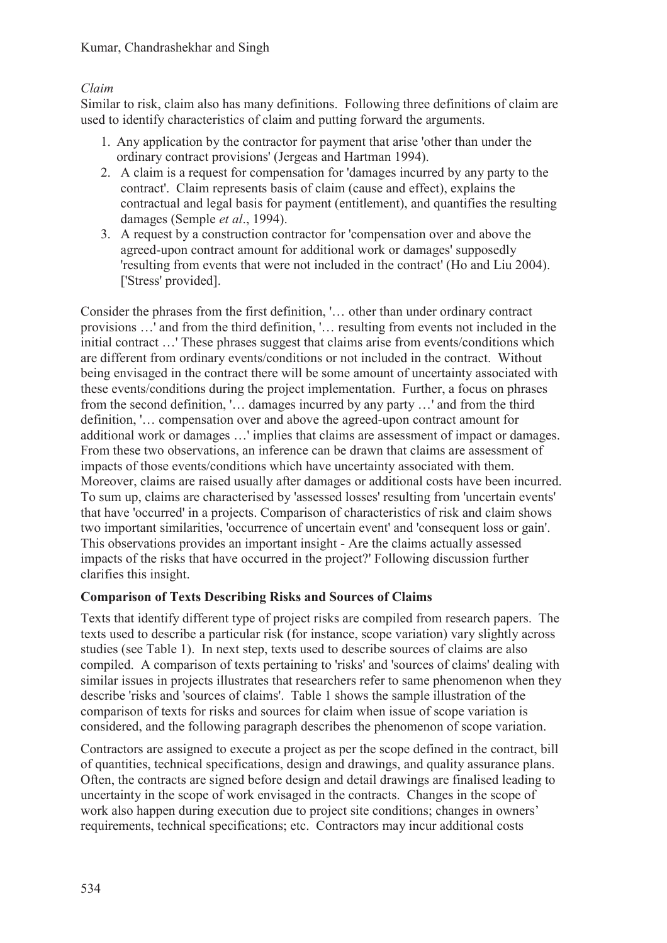#### Kumar, Chandrashekhar and Singh

### *Claim*

Similar to risk, claim also has many definitions. Following three definitions of claim are used to identify characteristics of claim and putting forward the arguments.

- 1. Any application by the contractor for payment that arise 'other than under the ordinary contract provisions' (Jergeas and Hartman 1994).
- 2. A claim is a request for compensation for 'damages incurred by any party to the contract'. Claim represents basis of claim (cause and effect), explains the contractual and legal basis for payment (entitlement), and quantifies the resulting damages (Semple *et al*., 1994).
- 3. A request by a construction contractor for 'compensation over and above the agreed-upon contract amount for additional work or damages' supposedly 'resulting from events that were not included in the contract' (Ho and Liu 2004). ['Stress' provided].

Consider the phrases from the first definition, '… other than under ordinary contract provisions …' and from the third definition, '… resulting from events not included in the initial contract …' These phrases suggest that claims arise from events/conditions which are different from ordinary events/conditions or not included in the contract. Without being envisaged in the contract there will be some amount of uncertainty associated with these events/conditions during the project implementation. Further, a focus on phrases from the second definition, '… damages incurred by any party …' and from the third definition, '… compensation over and above the agreed-upon contract amount for additional work or damages …' implies that claims are assessment of impact or damages. From these two observations, an inference can be drawn that claims are assessment of impacts of those events/conditions which have uncertainty associated with them. Moreover, claims are raised usually after damages or additional costs have been incurred. To sum up, claims are characterised by 'assessed losses' resulting from 'uncertain events' that have 'occurred' in a projects. Comparison of characteristics of risk and claim shows two important similarities, 'occurrence of uncertain event' and 'consequent loss or gain'. This observations provides an important insight - Are the claims actually assessed impacts of the risks that have occurred in the project?' Following discussion further clarifies this insight.

### **Comparison of Texts Describing Risks and Sources of Claims**

Texts that identify different type of project risks are compiled from research papers. The texts used to describe a particular risk (for instance, scope variation) vary slightly across studies (see Table 1). In next step, texts used to describe sources of claims are also compiled. A comparison of texts pertaining to 'risks' and 'sources of claims' dealing with similar issues in projects illustrates that researchers refer to same phenomenon when they describe 'risks and 'sources of claims'. Table 1 shows the sample illustration of the comparison of texts for risks and sources for claim when issue of scope variation is considered, and the following paragraph describes the phenomenon of scope variation.

Contractors are assigned to execute a project as per the scope defined in the contract, bill of quantities, technical specifications, design and drawings, and quality assurance plans. Often, the contracts are signed before design and detail drawings are finalised leading to uncertainty in the scope of work envisaged in the contracts. Changes in the scope of work also happen during execution due to project site conditions; changes in owners' requirements, technical specifications; etc. Contractors may incur additional costs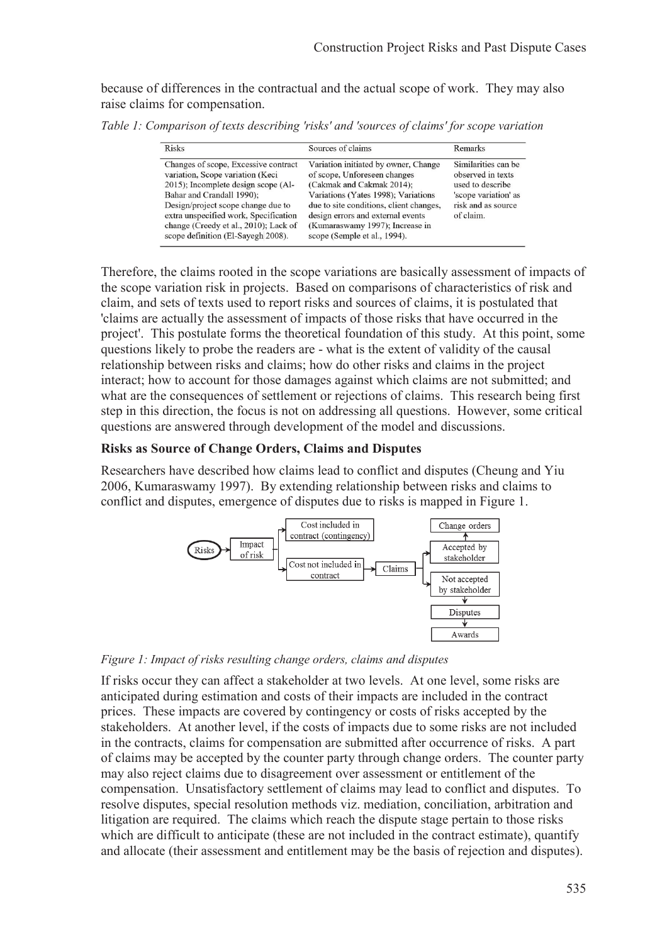because of differences in the contractual and the actual scope of work. They may also raise claims for compensation.

*Table 1: Comparison of texts describing 'risks' and 'sources of claims' for scope variation* 

| <b>Risks</b>                                                                                                                                                                                                                                                                                               | Sources of claims                                                                                                                                                                                                                                                                           | Remarks                                                                                                                 |
|------------------------------------------------------------------------------------------------------------------------------------------------------------------------------------------------------------------------------------------------------------------------------------------------------------|---------------------------------------------------------------------------------------------------------------------------------------------------------------------------------------------------------------------------------------------------------------------------------------------|-------------------------------------------------------------------------------------------------------------------------|
| Changes of scope, Excessive contract<br>variation, Scope variation (Keci<br>2015); Incomplete design scope (Al-<br>Bahar and Crandall 1990);<br>Design/project scope change due to<br>extra unspecified work, Specification<br>change (Creedy et al., 2010); Lack of<br>scope definition (El-Sayegh 2008). | Variation initiated by owner, Change<br>of scope, Unforeseen changes<br>(Cakmak and Cakmak 2014);<br>Variations (Yates 1998); Variations<br>due to site conditions, client changes,<br>design errors and external events<br>(Kumaraswamy 1997); Increase in<br>scope (Semple et al., 1994). | Similarities can be<br>observed in texts<br>used to describe<br>'scope variation' as<br>risk and as source<br>of claim. |

Therefore, the claims rooted in the scope variations are basically assessment of impacts of the scope variation risk in projects. Based on comparisons of characteristics of risk and claim, and sets of texts used to report risks and sources of claims, it is postulated that 'claims are actually the assessment of impacts of those risks that have occurred in the project'. This postulate forms the theoretical foundation of this study. At this point, some questions likely to probe the readers are - what is the extent of validity of the causal relationship between risks and claims; how do other risks and claims in the project interact; how to account for those damages against which claims are not submitted; and what are the consequences of settlement or rejections of claims. This research being first step in this direction, the focus is not on addressing all questions. However, some critical questions are answered through development of the model and discussions.

#### **Risks as Source of Change Orders, Claims and Disputes**

Researchers have described how claims lead to conflict and disputes (Cheung and Yiu 2006, Kumaraswamy 1997). By extending relationship between risks and claims to conflict and disputes, emergence of disputes due to risks is mapped in Figure 1.



*Figure 1: Impact of risks resulting change orders, claims and disputes*

If risks occur they can affect a stakeholder at two levels. At one level, some risks are anticipated during estimation and costs of their impacts are included in the contract prices. These impacts are covered by contingency or costs of risks accepted by the stakeholders. At another level, if the costs of impacts due to some risks are not included in the contracts, claims for compensation are submitted after occurrence of risks. A part of claims may be accepted by the counter party through change orders. The counter party may also reject claims due to disagreement over assessment or entitlement of the compensation. Unsatisfactory settlement of claims may lead to conflict and disputes. To resolve disputes, special resolution methods viz. mediation, conciliation, arbitration and litigation are required. The claims which reach the dispute stage pertain to those risks which are difficult to anticipate (these are not included in the contract estimate), quantify and allocate (their assessment and entitlement may be the basis of rejection and disputes).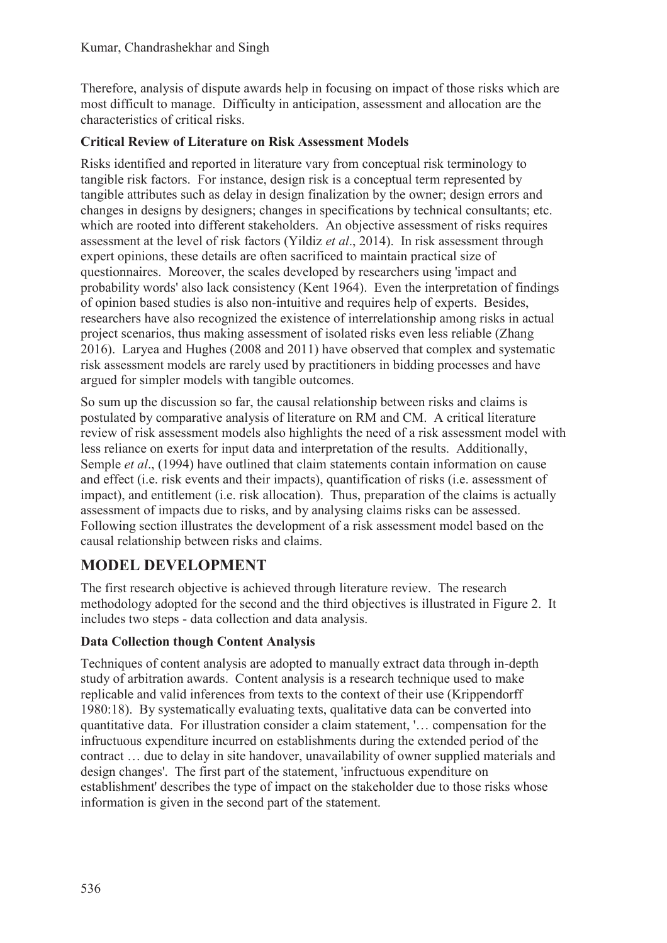Therefore, analysis of dispute awards help in focusing on impact of those risks which are most difficult to manage. Difficulty in anticipation, assessment and allocation are the characteristics of critical risks.

### **Critical Review of Literature on Risk Assessment Models**

Risks identified and reported in literature vary from conceptual risk terminology to tangible risk factors. For instance, design risk is a conceptual term represented by tangible attributes such as delay in design finalization by the owner; design errors and changes in designs by designers; changes in specifications by technical consultants; etc. which are rooted into different stakeholders. An objective assessment of risks requires assessment at the level of risk factors (Yildiz *et al*., 2014). In risk assessment through expert opinions, these details are often sacrificed to maintain practical size of questionnaires. Moreover, the scales developed by researchers using 'impact and probability words' also lack consistency (Kent 1964). Even the interpretation of findings of opinion based studies is also non-intuitive and requires help of experts. Besides, researchers have also recognized the existence of interrelationship among risks in actual project scenarios, thus making assessment of isolated risks even less reliable (Zhang 2016). Laryea and Hughes (2008 and 2011) have observed that complex and systematic risk assessment models are rarely used by practitioners in bidding processes and have argued for simpler models with tangible outcomes.

So sum up the discussion so far, the causal relationship between risks and claims is postulated by comparative analysis of literature on RM and CM. A critical literature review of risk assessment models also highlights the need of a risk assessment model with less reliance on exerts for input data and interpretation of the results. Additionally, Semple *et al*., (1994) have outlined that claim statements contain information on cause and effect (i.e. risk events and their impacts), quantification of risks (i.e. assessment of impact), and entitlement (i.e. risk allocation). Thus, preparation of the claims is actually assessment of impacts due to risks, and by analysing claims risks can be assessed. Following section illustrates the development of a risk assessment model based on the causal relationship between risks and claims.

## **MODEL DEVELOPMENT**

The first research objective is achieved through literature review. The research methodology adopted for the second and the third objectives is illustrated in Figure 2. It includes two steps - data collection and data analysis.

## **Data Collection though Content Analysis**

Techniques of content analysis are adopted to manually extract data through in-depth study of arbitration awards. Content analysis is a research technique used to make replicable and valid inferences from texts to the context of their use (Krippendorff 1980:18). By systematically evaluating texts, qualitative data can be converted into quantitative data. For illustration consider a claim statement, '… compensation for the infructuous expenditure incurred on establishments during the extended period of the contract … due to delay in site handover, unavailability of owner supplied materials and design changes'. The first part of the statement, 'infructuous expenditure on establishment' describes the type of impact on the stakeholder due to those risks whose information is given in the second part of the statement.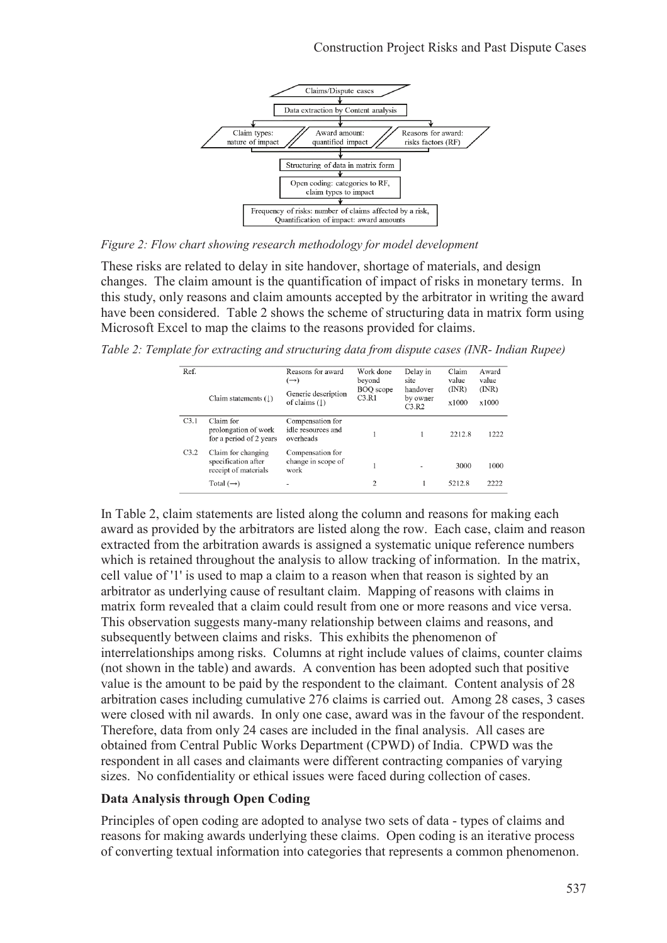

*Figure 2: Flow chart showing research methodology for model development* 

These risks are related to delay in site handover, shortage of materials, and design changes. The claim amount is the quantification of impact of risks in monetary terms. In this study, only reasons and claim amounts accepted by the arbitrator in writing the award have been considered. Table 2 shows the scheme of structuring data in matrix form using Microsoft Excel to map the claims to the reasons provided for claims.

*Table 2: Template for extracting and structuring data from dispute cases (INR- Indian Rupee)* 

| Ref. |                                                                   | Reasons for award<br>$(\rightarrow)$                | Work done<br>beyond | Delay in<br>site              | Claim<br>value<br>(NR)<br>x1000 | Award<br>value<br>(NR)<br>x1000 |
|------|-------------------------------------------------------------------|-----------------------------------------------------|---------------------|-------------------------------|---------------------------------|---------------------------------|
|      | Claim statements $($ $\downarrow$ )                               | Generic description<br>of claims $($ math)          | BOQ scope<br>C3.R1  | handover<br>by owner<br>C3.R2 |                                 |                                 |
| C3.1 | Claim for<br>prolongation of work<br>for a period of 2 years      | Compensation for<br>idle resources and<br>overheads |                     |                               | 2212.8                          | 1222                            |
| C3.2 | Claim for changing<br>specification after<br>receipt of materials | Compensation for<br>change in scope of<br>work      |                     |                               | 3000                            | 1000                            |
|      | Total $(\rightarrow)$                                             |                                                     | 2                   |                               | 5212.8                          | 2222                            |

In Table 2, claim statements are listed along the column and reasons for making each award as provided by the arbitrators are listed along the row. Each case, claim and reason extracted from the arbitration awards is assigned a systematic unique reference numbers which is retained throughout the analysis to allow tracking of information. In the matrix, cell value of '1' is used to map a claim to a reason when that reason is sighted by an arbitrator as underlying cause of resultant claim. Mapping of reasons with claims in matrix form revealed that a claim could result from one or more reasons and vice versa. This observation suggests many-many relationship between claims and reasons, and subsequently between claims and risks. This exhibits the phenomenon of interrelationships among risks. Columns at right include values of claims, counter claims (not shown in the table) and awards. A convention has been adopted such that positive value is the amount to be paid by the respondent to the claimant. Content analysis of 28 arbitration cases including cumulative 276 claims is carried out. Among 28 cases, 3 cases were closed with nil awards. In only one case, award was in the favour of the respondent. Therefore, data from only 24 cases are included in the final analysis. All cases are obtained from Central Public Works Department (CPWD) of India. CPWD was the respondent in all cases and claimants were different contracting companies of varying sizes. No confidentiality or ethical issues were faced during collection of cases.

### **Data Analysis through Open Coding**

Principles of open coding are adopted to analyse two sets of data - types of claims and reasons for making awards underlying these claims. Open coding is an iterative process of converting textual information into categories that represents a common phenomenon.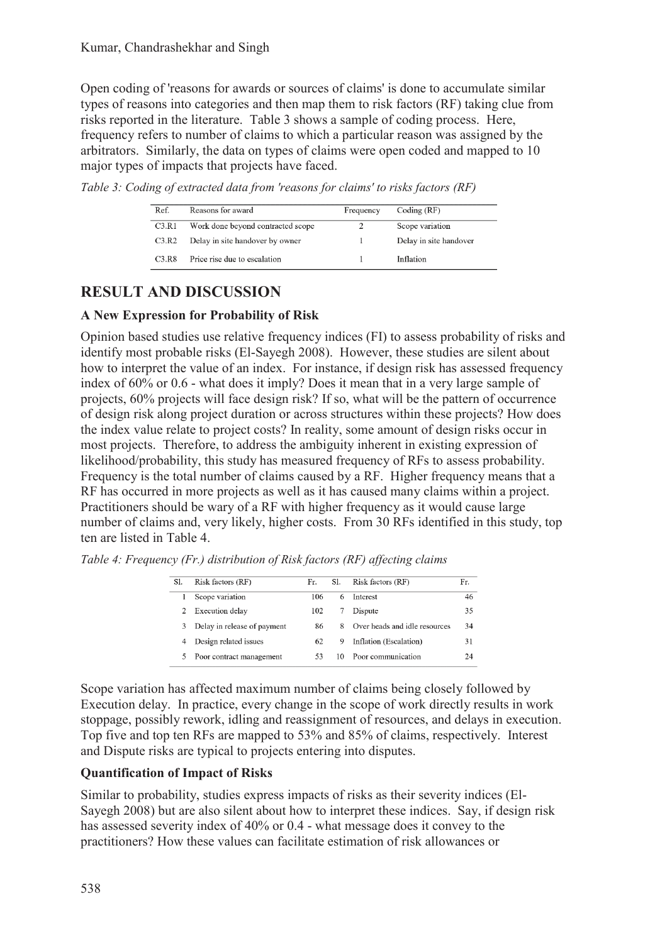Open coding of 'reasons for awards or sources of claims' is done to accumulate similar types of reasons into categories and then map them to risk factors (RF) taking clue from risks reported in the literature. Table 3 shows a sample of coding process. Here, frequency refers to number of claims to which a particular reason was assigned by the arbitrators. Similarly, the data on types of claims were open coded and mapped to 10 major types of impacts that projects have faced.

*Table 3: Coding of extracted data from 'reasons for claims' to risks factors (RF)* 

| Ref.                | Reasons for award                 | Frequency | Coding $(RF)$          |
|---------------------|-----------------------------------|-----------|------------------------|
| C3.R1               | Work done beyond contracted scope |           | Scope variation        |
| C3.R2               | Delay in site handover by owner   |           | Delay in site handover |
| $C3$ R <sub>8</sub> | Price rise due to escalation      |           | Inflation              |

# **RESULT AND DISCUSSION**

## **A New Expression for Probability of Risk**

Opinion based studies use relative frequency indices (FI) to assess probability of risks and identify most probable risks (El-Sayegh 2008). However, these studies are silent about how to interpret the value of an index. For instance, if design risk has assessed frequency index of 60% or 0.6 - what does it imply? Does it mean that in a very large sample of projects, 60% projects will face design risk? If so, what will be the pattern of occurrence of design risk along project duration or across structures within these projects? How does the index value relate to project costs? In reality, some amount of design risks occur in most projects. Therefore, to address the ambiguity inherent in existing expression of likelihood/probability, this study has measured frequency of RFs to assess probability. Frequency is the total number of claims caused by a RF. Higher frequency means that a RF has occurred in more projects as well as it has caused many claims within a project. Practitioners should be wary of a RF with higher frequency as it would cause large number of claims and, very likely, higher costs. From 30 RFs identified in this study, top ten are listed in Table 4.

| SI. | Risk factors (RF)           | Fr. | SI. | Risk factors (RF)             | Fr. |
|-----|-----------------------------|-----|-----|-------------------------------|-----|
|     | Scope variation             | 106 | 6   | Interest                      | 46  |
| 2   | Execution delay             | 102 |     | Dispute                       | 35  |
| 3   | Delay in release of payment | 86  | 8   | Over heads and idle resources | 34  |
| 4   | Design related issues       | 62  | 9   | Inflation (Escalation)        | 31  |
| 5   | Poor contract management    | 53  | 10  | Poor communication            | 24  |

*Table 4: Frequency (Fr.) distribution of Risk factors (RF) affecting claims* 

Scope variation has affected maximum number of claims being closely followed by Execution delay. In practice, every change in the scope of work directly results in work stoppage, possibly rework, idling and reassignment of resources, and delays in execution. Top five and top ten RFs are mapped to 53% and 85% of claims, respectively. Interest and Dispute risks are typical to projects entering into disputes.

## **Quantification of Impact of Risks**

Similar to probability, studies express impacts of risks as their severity indices (El-Sayegh 2008) but are also silent about how to interpret these indices. Say, if design risk has assessed severity index of 40% or 0.4 - what message does it convey to the practitioners? How these values can facilitate estimation of risk allowances or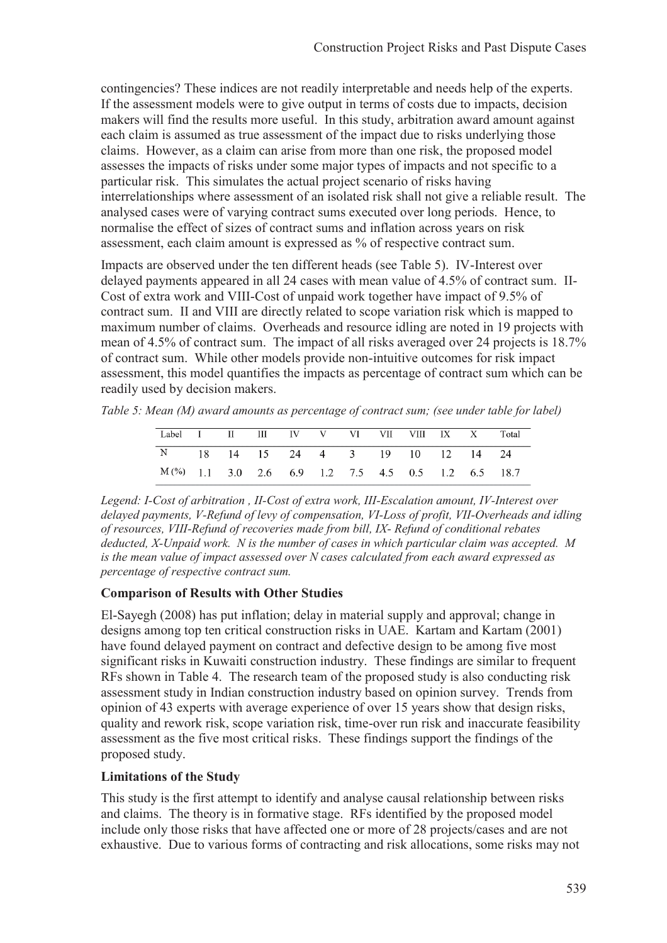contingencies? These indices are not readily interpretable and needs help of the experts. If the assessment models were to give output in terms of costs due to impacts, decision makers will find the results more useful. In this study, arbitration award amount against each claim is assumed as true assessment of the impact due to risks underlying those claims. However, as a claim can arise from more than one risk, the proposed model assesses the impacts of risks under some major types of impacts and not specific to a particular risk. This simulates the actual project scenario of risks having interrelationships where assessment of an isolated risk shall not give a reliable result. The analysed cases were of varying contract sums executed over long periods. Hence, to normalise the effect of sizes of contract sums and inflation across years on risk assessment, each claim amount is expressed as % of respective contract sum.

Impacts are observed under the ten different heads (see Table 5). IV-Interest over delayed payments appeared in all 24 cases with mean value of 4.5% of contract sum. II-Cost of extra work and VIII-Cost of unpaid work together have impact of 9.5% of contract sum. II and VIII are directly related to scope variation risk which is mapped to maximum number of claims. Overheads and resource idling are noted in 19 projects with mean of 4.5% of contract sum. The impact of all risks averaged over 24 projects is 18.7% of contract sum. While other models provide non-intuitive outcomes for risk impact assessment, this model quantifies the impacts as percentage of contract sum which can be readily used by decision makers.

*Table 5: Mean (M) award amounts as percentage of contract sum; (see under table for label)* 

| Label I II III IV V VI VII VIII IX X Total           |  |  |  |  |  |  |
|------------------------------------------------------|--|--|--|--|--|--|
| N 18 14 15 24 4 3 19 10 12 14 24                     |  |  |  |  |  |  |
| $M(\%)$ 1.1 3.0 2.6 6.9 1.2 7.5 4.5 0.5 1.2 6.5 18.7 |  |  |  |  |  |  |

*Legend: I-Cost of arbitration , II-Cost of extra work, III-Escalation amount, IV-Interest over delayed payments, V-Refund of levy of compensation, VI-Loss of profit, VII-Overheads and idling of resources, VIII-Refund of recoveries made from bill, IX- Refund of conditional rebates deducted, X-Unpaid work. N is the number of cases in which particular claim was accepted. M is the mean value of impact assessed over N cases calculated from each award expressed as percentage of respective contract sum.* 

### **Comparison of Results with Other Studies**

El-Sayegh (2008) has put inflation; delay in material supply and approval; change in designs among top ten critical construction risks in UAE. Kartam and Kartam (2001) have found delayed payment on contract and defective design to be among five most significant risks in Kuwaiti construction industry. These findings are similar to frequent RFs shown in Table 4. The research team of the proposed study is also conducting risk assessment study in Indian construction industry based on opinion survey. Trends from opinion of 43 experts with average experience of over 15 years show that design risks, quality and rework risk, scope variation risk, time-over run risk and inaccurate feasibility assessment as the five most critical risks. These findings support the findings of the proposed study.

### **Limitations of the Study**

This study is the first attempt to identify and analyse causal relationship between risks and claims. The theory is in formative stage. RFs identified by the proposed model include only those risks that have affected one or more of 28 projects/cases and are not exhaustive. Due to various forms of contracting and risk allocations, some risks may not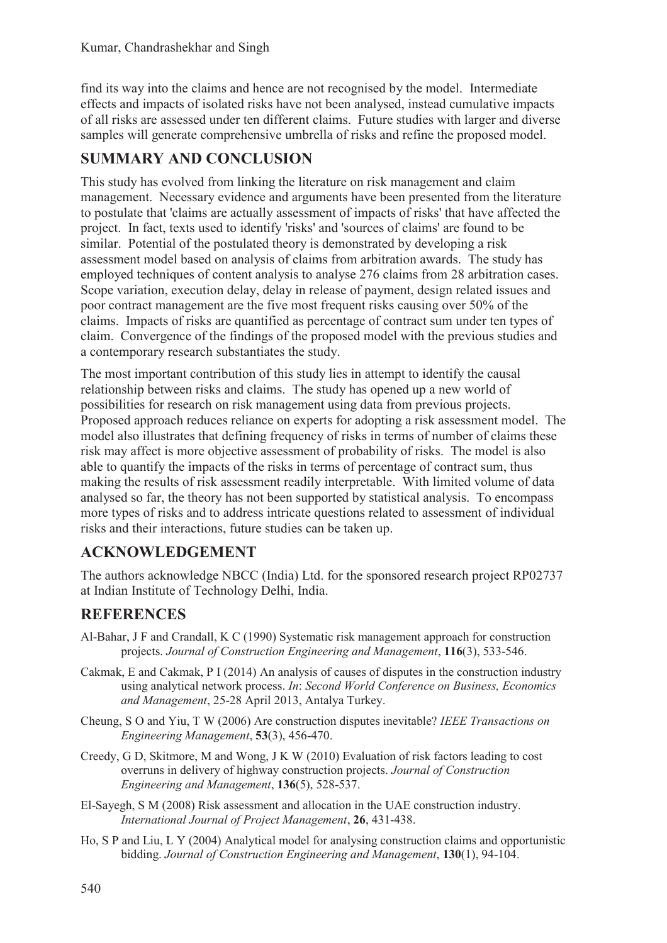find its way into the claims and hence are not recognised by the model. Intermediate effects and impacts of isolated risks have not been analysed, instead cumulative impacts of all risks are assessed under ten different claims. Future studies with larger and diverse samples will generate comprehensive umbrella of risks and refine the proposed model.

## **SUMMARY AND CONCLUSION**

This study has evolved from linking the literature on risk management and claim management. Necessary evidence and arguments have been presented from the literature to postulate that 'claims are actually assessment of impacts of risks' that have affected the project. In fact, texts used to identify 'risks' and 'sources of claims' are found to be similar. Potential of the postulated theory is demonstrated by developing a risk assessment model based on analysis of claims from arbitration awards. The study has employed techniques of content analysis to analyse 276 claims from 28 arbitration cases. Scope variation, execution delay, delay in release of payment, design related issues and poor contract management are the five most frequent risks causing over 50% of the claims. Impacts of risks are quantified as percentage of contract sum under ten types of claim. Convergence of the findings of the proposed model with the previous studies and a contemporary research substantiates the study.

The most important contribution of this study lies in attempt to identify the causal relationship between risks and claims. The study has opened up a new world of possibilities for research on risk management using data from previous projects. Proposed approach reduces reliance on experts for adopting a risk assessment model. The model also illustrates that defining frequency of risks in terms of number of claims these risk may affect is more objective assessment of probability of risks. The model is also able to quantify the impacts of the risks in terms of percentage of contract sum, thus making the results of risk assessment readily interpretable. With limited volume of data analysed so far, the theory has not been supported by statistical analysis. To encompass more types of risks and to address intricate questions related to assessment of individual risks and their interactions, future studies can be taken up.

## **ACKNOWLEDGEMENT**

The authors acknowledge NBCC (India) Ltd. for the sponsored research project RP02737 at Indian Institute of Technology Delhi, India.

## **REFERENCES**

- Al-Bahar, J F and Crandall, K C (1990) Systematic risk management approach for construction projects. *Journal of Construction Engineering and Management*, **116**(3), 533-546.
- Cakmak, E and Cakmak, P I (2014) An analysis of causes of disputes in the construction industry using analytical network process. *In*: *Second World Conference on Business, Economics and Management*, 25-28 April 2013, Antalya Turkey.
- Cheung, S O and Yiu, T W (2006) Are construction disputes inevitable? *IEEE Transactions on Engineering Management*, **53**(3), 456-470.
- Creedy, G D, Skitmore, M and Wong, J K W (2010) Evaluation of risk factors leading to cost overruns in delivery of highway construction projects. *Journal of Construction Engineering and Management*, **136**(5), 528-537.
- El-Sayegh, S M (2008) Risk assessment and allocation in the UAE construction industry. *International Journal of Project Management*, **26**, 431-438.
- Ho, S P and Liu, L Y (2004) Analytical model for analysing construction claims and opportunistic bidding. *Journal of Construction Engineering and Management*, **130**(1), 94-104.